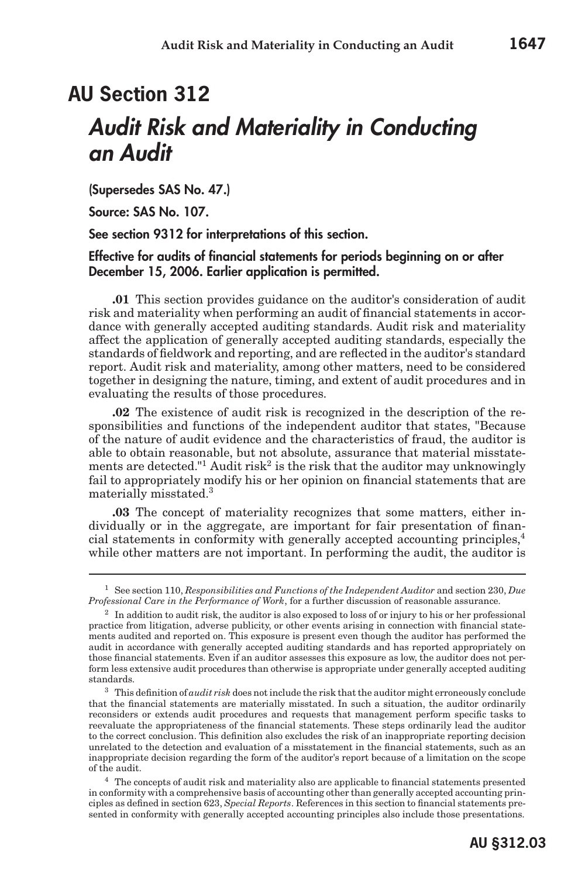(Supersedes SAS No. 47.)

Source: SAS No. 107.

See section 9312 for interpretations of this section.

#### Effective for audits of financial statements for periods beginning on or after December 15, 2006. Earlier application is permitted.

**.01** This section provides guidance on the auditor's consideration of audit risk and materiality when performing an audit of financial statements in accordance with generally accepted auditing standards. Audit risk and materiality affect the application of generally accepted auditing standards, especially the standards of fieldwork and reporting, and are reflected in the auditor's standard report. Audit risk and materiality, among other matters, need to be considered together in designing the nature, timing, and extent of audit procedures and in evaluating the results of those procedures.

**.02** The existence of audit risk is recognized in the description of the responsibilities and functions of the independent auditor that states, "Because of the nature of audit evidence and the characteristics of fraud, the auditor is able to obtain reasonable, but not absolute, assurance that material misstatements are detected."<sup>1</sup> Audit risk<sup>2</sup> is the risk that the auditor may unknowingly fail to appropriately modify his or her opinion on financial statements that are materially misstated.3

**.03** The concept of materiality recognizes that some matters, either individually or in the aggregate, are important for fair presentation of financial statements in conformity with generally accepted accounting principles,<sup>4</sup> while other matters are not important. In performing the audit, the auditor is

<sup>1</sup> See section 110, *Responsibilities and Functions of the Independent Auditor* and section 230, *Due Professional Care in the Performance of Work*, for a further discussion of reasonable assurance.

 $2\;$  In addition to audit risk, the auditor is also exposed to loss of or injury to his or her professional practice from litigation, adverse publicity, or other events arising in connection with financial statements audited and reported on. This exposure is present even though the auditor has performed the audit in accordance with generally accepted auditing standards and has reported appropriately on those financial statements. Even if an auditor assesses this exposure as low, the auditor does not perform less extensive audit procedures than otherwise is appropriate under generally accepted auditing standards.

<sup>3</sup> This definition of *audit risk* does not include the risk that the auditor might erroneously conclude that the financial statements are materially misstated. In such a situation, the auditor ordinarily reconsiders or extends audit procedures and requests that management perform specific tasks to reevaluate the appropriateness of the financial statements. These steps ordinarily lead the auditor to the correct conclusion. This definition also excludes the risk of an inappropriate reporting decision unrelated to the detection and evaluation of a misstatement in the financial statements, such as an inappropriate decision regarding the form of the auditor's report because of a limitation on the scope of the audit.

<sup>4</sup> The concepts of audit risk and materiality also are applicable to financial statements presented in conformity with a comprehensive basis of accounting other than generally accepted accounting principles as defined in section 623, *Special Reports*. References in this section to financial statements presented in conformity with generally accepted accounting principles also include those presentations.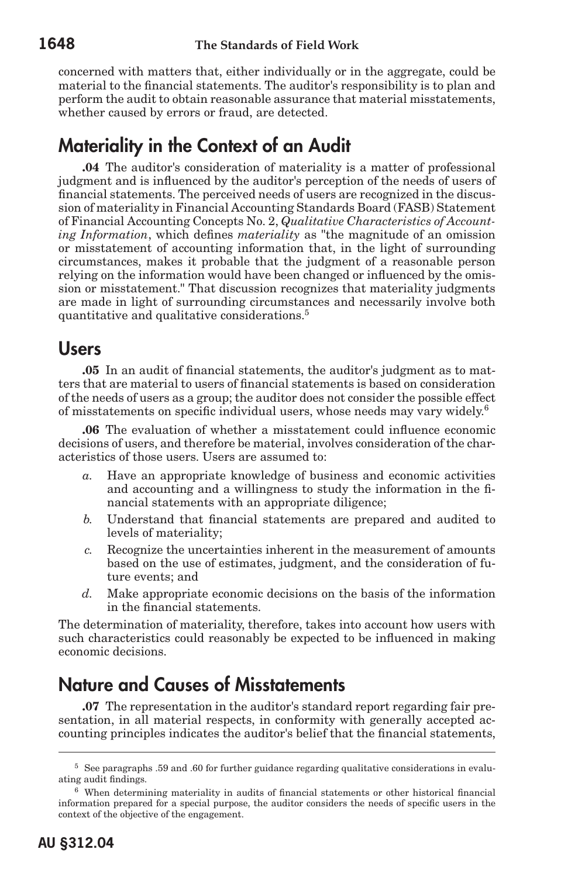concerned with matters that, either individually or in the aggregate, could be material to the financial statements. The auditor's responsibility is to plan and perform the audit to obtain reasonable assurance that material misstatements, whether caused by errors or fraud, are detected.

# Materiality in the Context of an Audit

**.04** The auditor's consideration of materiality is a matter of professional judgment and is influenced by the auditor's perception of the needs of users of financial statements. The perceived needs of users are recognized in the discussion of materiality in Financial Accounting Standards Board (FASB) Statement of Financial Accounting Concepts No. 2, *Qualitative Characteristics of Accounting Information*, which defines *materiality* as "the magnitude of an omission or misstatement of accounting information that, in the light of surrounding circumstances, makes it probable that the judgment of a reasonable person relying on the information would have been changed or influenced by the omission or misstatement." That discussion recognizes that materiality judgments are made in light of surrounding circumstances and necessarily involve both quantitative and qualitative considerations.<sup>5</sup>

#### Users

**.05** In an audit of financial statements, the auditor's judgment as to matters that are material to users of financial statements is based on consideration of the needs of users as a group; the auditor does not consider the possible effect of misstatements on specific individual users, whose needs may vary widely.<sup>6</sup>

**.06** The evaluation of whether a misstatement could influence economic decisions of users, and therefore be material, involves consideration of the characteristics of those users. Users are assumed to:

- Have an appropriate knowledge of business and economic activities and accounting and a willingness to study the information in the financial statements with an appropriate diligence;
- *b.* Understand that financial statements are prepared and audited to levels of materiality;
- *c.* Recognize the uncertainties inherent in the measurement of amounts based on the use of estimates, judgment, and the consideration of future events; and
- *d.* Make appropriate economic decisions on the basis of the information in the financial statements.

The determination of materiality, therefore, takes into account how users with such characteristics could reasonably be expected to be influenced in making economic decisions.

# Nature and Causes of Misstatements

**.07** The representation in the auditor's standard report regarding fair presentation, in all material respects, in conformity with generally accepted accounting principles indicates the auditor's belief that the financial statements,

<sup>5</sup> See paragraphs .59 and .60 for further guidance regarding qualitative considerations in evaluating audit findings.

<sup>6</sup> When determining materiality in audits of financial statements or other historical financial information prepared for a special purpose, the auditor considers the needs of specific users in the context of the objective of the engagement.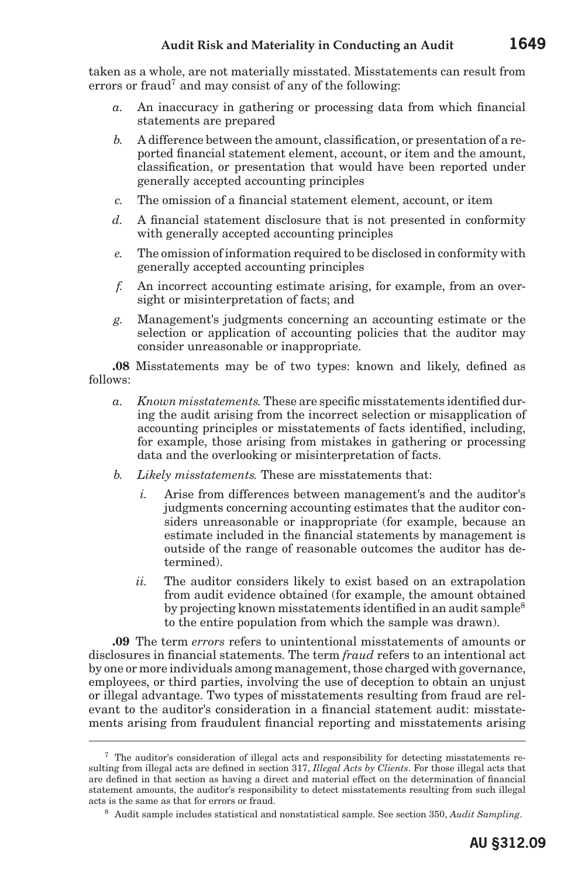taken as a whole, are not materially misstated. Misstatements can result from errors or fraud<sup>7</sup> and may consist of any of the following:

- *a.* An inaccuracy in gathering or processing data from which financial statements are prepared
- *b.* A difference between the amount, classification, or presentation of a reported financial statement element, account, or item and the amount, classification, or presentation that would have been reported under generally accepted accounting principles
- *c.* The omission of a financial statement element, account, or item
- *d.* A financial statement disclosure that is not presented in conformity with generally accepted accounting principles
- *e.* The omission of information required to be disclosed in conformity with generally accepted accounting principles
- *f.* An incorrect accounting estimate arising, for example, from an oversight or misinterpretation of facts; and
- *g.* Management's judgments concerning an accounting estimate or the selection or application of accounting policies that the auditor may consider unreasonable or inappropriate.

**.08** Misstatements may be of two types: known and likely, defined as follows:

- *a. Known misstatements.* These are specific misstatements identified during the audit arising from the incorrect selection or misapplication of accounting principles or misstatements of facts identified, including, for example, those arising from mistakes in gathering or processing data and the overlooking or misinterpretation of facts.
- *b. Likely misstatements.* These are misstatements that:
	- *i.* Arise from differences between management's and the auditor's judgments concerning accounting estimates that the auditor considers unreasonable or inappropriate (for example, because an estimate included in the financial statements by management is outside of the range of reasonable outcomes the auditor has determined).
	- *ii.* The auditor considers likely to exist based on an extrapolation from audit evidence obtained (for example, the amount obtained by projecting known misstatements identified in an audit sample<sup>8</sup> to the entire population from which the sample was drawn).

**.09** The term *errors* refers to unintentional misstatements of amounts or disclosures in financial statements. The term *fraud* refers to an intentional act by one or more individuals among management, those charged with governance, employees, or third parties, involving the use of deception to obtain an unjust or illegal advantage. Two types of misstatements resulting from fraud are relevant to the auditor's consideration in a financial statement audit: misstatements arising from fraudulent financial reporting and misstatements arising

<sup>7</sup> The auditor's consideration of illegal acts and responsibility for detecting misstatements resulting from illegal acts are defined in section 317, *Illegal Acts by Clients*. For those illegal acts that are defined in that section as having a direct and material effect on the determination of financial statement amounts, the auditor's responsibility to detect misstatements resulting from such illegal acts is the same as that for errors or fraud.

<sup>8</sup> Audit sample includes statistical and nonstatistical sample. See section 350, *Audit Sampling*.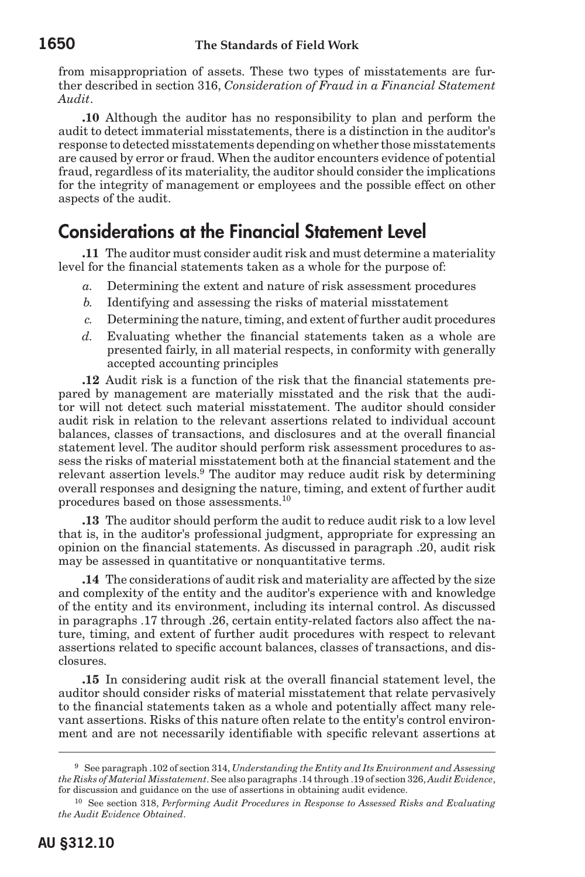from misappropriation of assets. These two types of misstatements are further described in section 316, *Consideration of Fraud in a Financial Statement Audit*.

**.10** Although the auditor has no responsibility to plan and perform the audit to detect immaterial misstatements, there is a distinction in the auditor's response to detected misstatements depending on whether those misstatements are caused by error or fraud. When the auditor encounters evidence of potential fraud, regardless of its materiality, the auditor should consider the implications for the integrity of management or employees and the possible effect on other aspects of the audit.

## Considerations at the Financial Statement Level

**.11** The auditor must consider audit risk and must determine a materiality level for the financial statements taken as a whole for the purpose of:

- *a.* Determining the extent and nature of risk assessment procedures
- *b.* Identifying and assessing the risks of material misstatement
- *c.* Determining the nature, timing, and extent of further audit procedures
- *d.* Evaluating whether the financial statements taken as a whole are presented fairly, in all material respects, in conformity with generally accepted accounting principles

**.12** Audit risk is a function of the risk that the financial statements prepared by management are materially misstated and the risk that the auditor will not detect such material misstatement. The auditor should consider audit risk in relation to the relevant assertions related to individual account balances, classes of transactions, and disclosures and at the overall financial statement level. The auditor should perform risk assessment procedures to assess the risks of material misstatement both at the financial statement and the relevant assertion levels.<sup>9</sup> The auditor may reduce audit risk by determining overall responses and designing the nature, timing, and extent of further audit procedures based on those assessments.<sup>10</sup>

**.13** The auditor should perform the audit to reduce audit risk to a low level that is, in the auditor's professional judgment, appropriate for expressing an opinion on the financial statements. As discussed in paragraph .20, audit risk may be assessed in quantitative or nonquantitative terms.

**.14** The considerations of audit risk and materiality are affected by the size and complexity of the entity and the auditor's experience with and knowledge of the entity and its environment, including its internal control. As discussed in paragraphs .17 through .26, certain entity-related factors also affect the nature, timing, and extent of further audit procedures with respect to relevant assertions related to specific account balances, classes of transactions, and disclosures.

**.15** In considering audit risk at the overall financial statement level, the auditor should consider risks of material misstatement that relate pervasively to the financial statements taken as a whole and potentially affect many relevant assertions. Risks of this nature often relate to the entity's control environment and are not necessarily identifiable with specific relevant assertions at

<sup>9</sup> See paragraph .102 of section 314, *Understanding the Entity and Its Environment and Assessing the Risks of Material Misstatement*. See also paragraphs .14 through .19 of section 326, *Audit Evidence*, for discussion and guidance on the use of assertions in obtaining audit evidence.

<sup>10</sup> See section 318, *Performing Audit Procedures in Response to Assessed Risks and Evaluating the Audit Evidence Obtained*.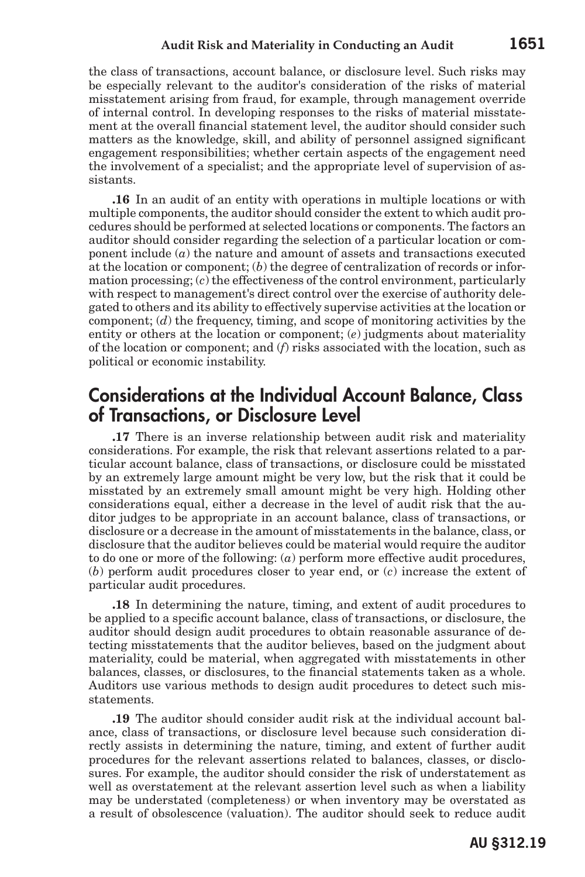the class of transactions, account balance, or disclosure level. Such risks may be especially relevant to the auditor's consideration of the risks of material misstatement arising from fraud, for example, through management override of internal control. In developing responses to the risks of material misstatement at the overall financial statement level, the auditor should consider such matters as the knowledge, skill, and ability of personnel assigned significant engagement responsibilities; whether certain aspects of the engagement need the involvement of a specialist; and the appropriate level of supervision of assistants.

**.16** In an audit of an entity with operations in multiple locations or with multiple components, the auditor should consider the extent to which audit procedures should be performed at selected locations or components. The factors an auditor should consider regarding the selection of a particular location or component include (*a*) the nature and amount of assets and transactions executed at the location or component; (*b*) the degree of centralization of records or information processing; (*c*) the effectiveness of the control environment, particularly with respect to management's direct control over the exercise of authority delegated to others and its ability to effectively supervise activities at the location or component; (*d*) the frequency, timing, and scope of monitoring activities by the entity or others at the location or component; (*e*) judgments about materiality of the location or component; and (*f*) risks associated with the location, such as political or economic instability.

#### Considerations at the Individual Account Balance, Class of Transactions, or Disclosure Level

**.17** There is an inverse relationship between audit risk and materiality considerations. For example, the risk that relevant assertions related to a particular account balance, class of transactions, or disclosure could be misstated by an extremely large amount might be very low, but the risk that it could be misstated by an extremely small amount might be very high. Holding other considerations equal, either a decrease in the level of audit risk that the auditor judges to be appropriate in an account balance, class of transactions, or disclosure or a decrease in the amount of misstatements in the balance, class, or disclosure that the auditor believes could be material would require the auditor to do one or more of the following: (*a*) perform more effective audit procedures, (*b*) perform audit procedures closer to year end, or (*c*) increase the extent of particular audit procedures.

**.18** In determining the nature, timing, and extent of audit procedures to be applied to a specific account balance, class of transactions, or disclosure, the auditor should design audit procedures to obtain reasonable assurance of detecting misstatements that the auditor believes, based on the judgment about materiality, could be material, when aggregated with misstatements in other balances, classes, or disclosures, to the financial statements taken as a whole. Auditors use various methods to design audit procedures to detect such misstatements.

**.19** The auditor should consider audit risk at the individual account balance, class of transactions, or disclosure level because such consideration directly assists in determining the nature, timing, and extent of further audit procedures for the relevant assertions related to balances, classes, or disclosures. For example, the auditor should consider the risk of understatement as well as overstatement at the relevant assertion level such as when a liability may be understated (completeness) or when inventory may be overstated as a result of obsolescence (valuation). The auditor should seek to reduce audit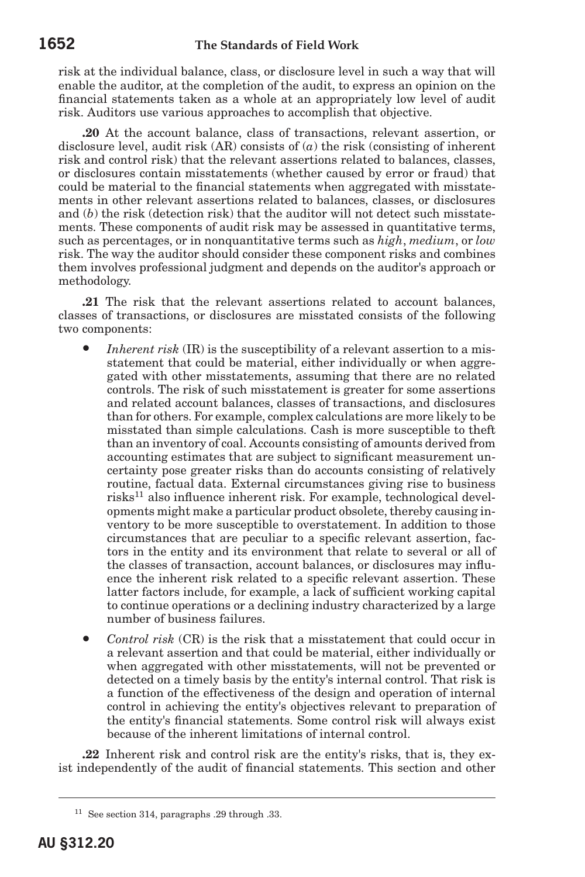risk at the individual balance, class, or disclosure level in such a way that will enable the auditor, at the completion of the audit, to express an opinion on the financial statements taken as a whole at an appropriately low level of audit risk. Auditors use various approaches to accomplish that objective.

**.20** At the account balance, class of transactions, relevant assertion, or disclosure level, audit risk (AR) consists of (*a*) the risk (consisting of inherent risk and control risk) that the relevant assertions related to balances, classes, or disclosures contain misstatements (whether caused by error or fraud) that could be material to the financial statements when aggregated with misstatements in other relevant assertions related to balances, classes, or disclosures and (*b*) the risk (detection risk) that the auditor will not detect such misstatements. These components of audit risk may be assessed in quantitative terms, such as percentages, or in nonquantitative terms such as *high*, *medium*, or *low* risk. The way the auditor should consider these component risks and combines them involves professional judgment and depends on the auditor's approach or methodology.

**.21** The risk that the relevant assertions related to account balances, classes of transactions, or disclosures are misstated consists of the following two components:

- *Inherent risk* (IR) is the susceptibility of a relevant assertion to a misstatement that could be material, either individually or when aggregated with other misstatements, assuming that there are no related controls. The risk of such misstatement is greater for some assertions and related account balances, classes of transactions, and disclosures than for others. For example, complex calculations are more likely to be misstated than simple calculations. Cash is more susceptible to theft than an inventory of coal. Accounts consisting of amounts derived from accounting estimates that are subject to significant measurement uncertainty pose greater risks than do accounts consisting of relatively routine, factual data. External circumstances giving rise to business risks11 also influence inherent risk. For example, technological developments might make a particular product obsolete, thereby causing inventory to be more susceptible to overstatement. In addition to those circumstances that are peculiar to a specific relevant assertion, factors in the entity and its environment that relate to several or all of the classes of transaction, account balances, or disclosures may influence the inherent risk related to a specific relevant assertion. These latter factors include, for example, a lack of sufficient working capital to continue operations or a declining industry characterized by a large number of business failures.
- *Control risk* (CR) is the risk that a misstatement that could occur in a relevant assertion and that could be material, either individually or when aggregated with other misstatements, will not be prevented or detected on a timely basis by the entity's internal control. That risk is a function of the effectiveness of the design and operation of internal control in achieving the entity's objectives relevant to preparation of the entity's financial statements. Some control risk will always exist because of the inherent limitations of internal control.

**.22** Inherent risk and control risk are the entity's risks, that is, they exist independently of the audit of financial statements. This section and other

<sup>11</sup> See section 314, paragraphs .29 through .33.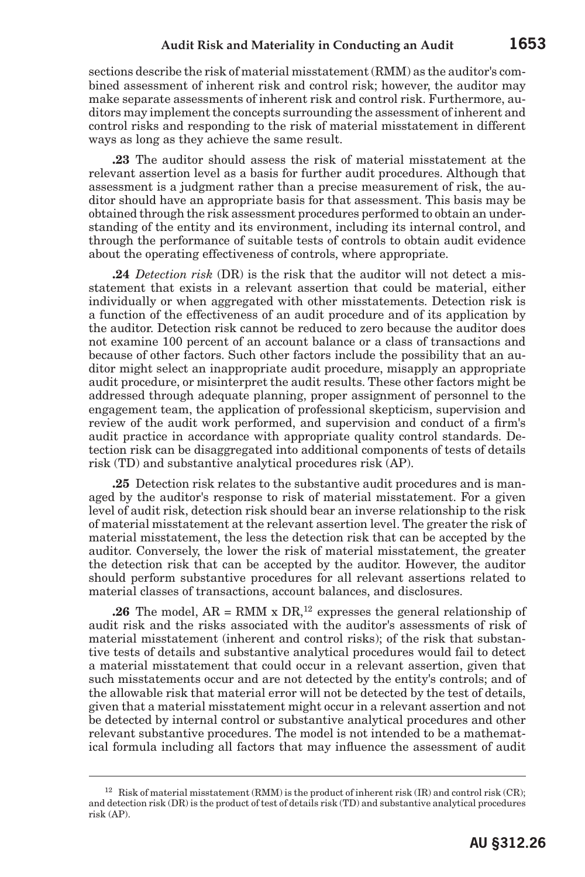sections describe the risk of material misstatement (RMM) as the auditor's combined assessment of inherent risk and control risk; however, the auditor may make separate assessments of inherent risk and control risk. Furthermore, auditors may implement the concepts surrounding the assessment of inherent and control risks and responding to the risk of material misstatement in different ways as long as they achieve the same result.

**.23** The auditor should assess the risk of material misstatement at the relevant assertion level as a basis for further audit procedures. Although that assessment is a judgment rather than a precise measurement of risk, the auditor should have an appropriate basis for that assessment. This basis may be obtained through the risk assessment procedures performed to obtain an understanding of the entity and its environment, including its internal control, and through the performance of suitable tests of controls to obtain audit evidence about the operating effectiveness of controls, where appropriate.

**.24** *Detection risk* (DR) is the risk that the auditor will not detect a misstatement that exists in a relevant assertion that could be material, either individually or when aggregated with other misstatements. Detection risk is a function of the effectiveness of an audit procedure and of its application by the auditor. Detection risk cannot be reduced to zero because the auditor does not examine 100 percent of an account balance or a class of transactions and because of other factors. Such other factors include the possibility that an auditor might select an inappropriate audit procedure, misapply an appropriate audit procedure, or misinterpret the audit results. These other factors might be addressed through adequate planning, proper assignment of personnel to the engagement team, the application of professional skepticism, supervision and review of the audit work performed, and supervision and conduct of a firm's audit practice in accordance with appropriate quality control standards. Detection risk can be disaggregated into additional components of tests of details risk (TD) and substantive analytical procedures risk (AP).

**.25** Detection risk relates to the substantive audit procedures and is managed by the auditor's response to risk of material misstatement. For a given level of audit risk, detection risk should bear an inverse relationship to the risk of material misstatement at the relevant assertion level. The greater the risk of material misstatement, the less the detection risk that can be accepted by the auditor. Conversely, the lower the risk of material misstatement, the greater the detection risk that can be accepted by the auditor. However, the auditor should perform substantive procedures for all relevant assertions related to material classes of transactions, account balances, and disclosures.

**.26** The model,  $AR = RMM \times DR$ ,<sup>12</sup> expresses the general relationship of audit risk and the risks associated with the auditor's assessments of risk of material misstatement (inherent and control risks); of the risk that substantive tests of details and substantive analytical procedures would fail to detect a material misstatement that could occur in a relevant assertion, given that such misstatements occur and are not detected by the entity's controls; and of the allowable risk that material error will not be detected by the test of details, given that a material misstatement might occur in a relevant assertion and not be detected by internal control or substantive analytical procedures and other relevant substantive procedures. The model is not intended to be a mathematical formula including all factors that may influence the assessment of audit

<sup>&</sup>lt;sup>12</sup> Risk of material misstatement (RMM) is the product of inherent risk (IR) and control risk (CR); and detection risk (DR) is the product of test of details risk (TD) and substantive analytical procedures risk (AP).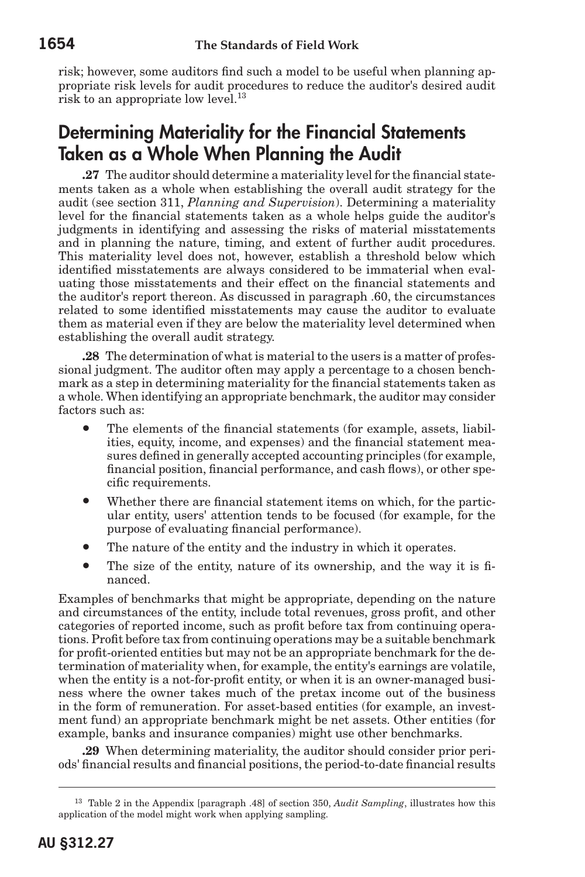risk; however, some auditors find such a model to be useful when planning appropriate risk levels for audit procedures to reduce the auditor's desired audit risk to an appropriate low level.<sup>13</sup>

## Determining Materiality for the Financial Statements Taken as a Whole When Planning the Audit

**.27** The auditor should determine a materiality level for the financial statements taken as a whole when establishing the overall audit strategy for the audit (see section 311, *Planning and Supervision*). Determining a materiality level for the financial statements taken as a whole helps guide the auditor's judgments in identifying and assessing the risks of material misstatements and in planning the nature, timing, and extent of further audit procedures. This materiality level does not, however, establish a threshold below which identified misstatements are always considered to be immaterial when evaluating those misstatements and their effect on the financial statements and the auditor's report thereon. As discussed in paragraph .60, the circumstances related to some identified misstatements may cause the auditor to evaluate them as material even if they are below the materiality level determined when establishing the overall audit strategy.

**.28** The determination of what is material to the users is a matter of professional judgment. The auditor often may apply a percentage to a chosen benchmark as a step in determining materiality for the financial statements taken as a whole. When identifying an appropriate benchmark, the auditor may consider factors such as:

- The elements of the financial statements (for example, assets, liabilities, equity, income, and expenses) and the financial statement measures defined in generally accepted accounting principles (for example, financial position, financial performance, and cash flows), or other specific requirements.
- Whether there are financial statement items on which, for the particular entity, users' attention tends to be focused (for example, for the purpose of evaluating financial performance).
- The nature of the entity and the industry in which it operates.
- The size of the entity, nature of its ownership, and the way it is financed.

Examples of benchmarks that might be appropriate, depending on the nature and circumstances of the entity, include total revenues, gross profit, and other categories of reported income, such as profit before tax from continuing operations. Profit before tax from continuing operations may be a suitable benchmark for profit-oriented entities but may not be an appropriate benchmark for the determination of materiality when, for example, the entity's earnings are volatile, when the entity is a not-for-profit entity, or when it is an owner-managed business where the owner takes much of the pretax income out of the business in the form of remuneration. For asset-based entities (for example, an investment fund) an appropriate benchmark might be net assets. Other entities (for example, banks and insurance companies) might use other benchmarks.

**.29** When determining materiality, the auditor should consider prior periods' financial results and financial positions, the period-to-date financial results

<sup>13</sup> Table 2 in the Appendix [paragraph .48] of section 350, *Audit Sampling*, illustrates how this application of the model might work when applying sampling.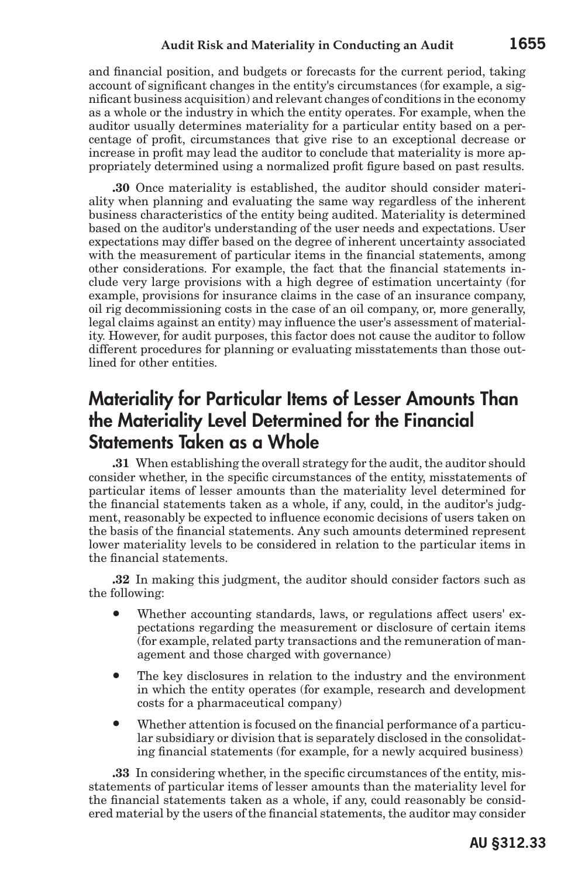and financial position, and budgets or forecasts for the current period, taking account of significant changes in the entity's circumstances (for example, a significant business acquisition) and relevant changes of conditions in the economy as a whole or the industry in which the entity operates. For example, when the auditor usually determines materiality for a particular entity based on a percentage of profit, circumstances that give rise to an exceptional decrease or increase in profit may lead the auditor to conclude that materiality is more appropriately determined using a normalized profit figure based on past results.

**.30** Once materiality is established, the auditor should consider materiality when planning and evaluating the same way regardless of the inherent business characteristics of the entity being audited. Materiality is determined based on the auditor's understanding of the user needs and expectations. User expectations may differ based on the degree of inherent uncertainty associated with the measurement of particular items in the financial statements, among other considerations. For example, the fact that the financial statements include very large provisions with a high degree of estimation uncertainty (for example, provisions for insurance claims in the case of an insurance company, oil rig decommissioning costs in the case of an oil company, or, more generally, legal claims against an entity) may influence the user's assessment of materiality. However, for audit purposes, this factor does not cause the auditor to follow different procedures for planning or evaluating misstatements than those outlined for other entities.

## Materiality for Particular Items of Lesser Amounts Than the Materiality Level Determined for the Financial Statements Taken as a Whole

**.31** When establishing the overall strategy for the audit, the auditor should consider whether, in the specific circumstances of the entity, misstatements of particular items of lesser amounts than the materiality level determined for the financial statements taken as a whole, if any, could, in the auditor's judgment, reasonably be expected to influence economic decisions of users taken on the basis of the financial statements. Any such amounts determined represent lower materiality levels to be considered in relation to the particular items in the financial statements.

**.32** In making this judgment, the auditor should consider factors such as the following:

- Whether accounting standards, laws, or regulations affect users' expectations regarding the measurement or disclosure of certain items (for example, related party transactions and the remuneration of management and those charged with governance)
- The key disclosures in relation to the industry and the environment in which the entity operates (for example, research and development costs for a pharmaceutical company)
- Whether attention is focused on the financial performance of a particular subsidiary or division that is separately disclosed in the consolidating financial statements (for example, for a newly acquired business)

**.33** In considering whether, in the specific circumstances of the entity, misstatements of particular items of lesser amounts than the materiality level for the financial statements taken as a whole, if any, could reasonably be considered material by the users of the financial statements, the auditor may consider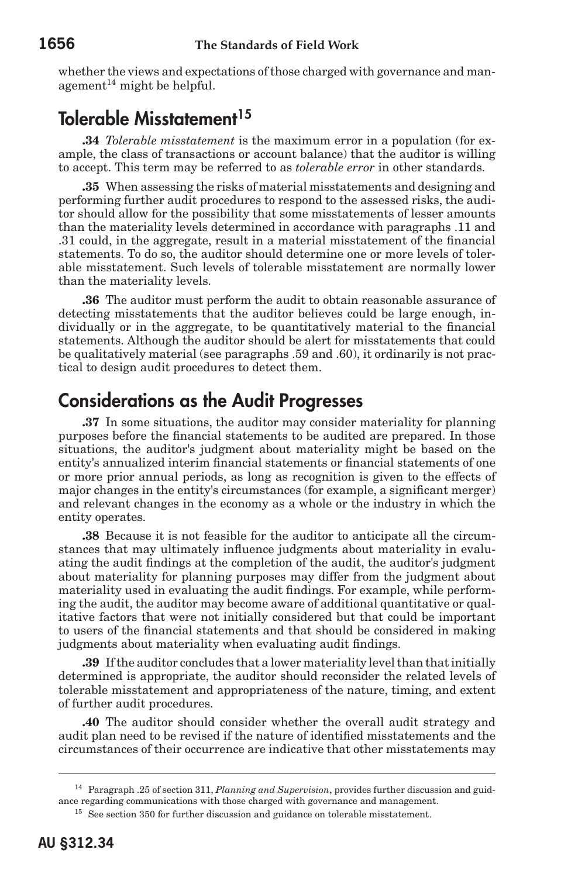whether the views and expectations of those charged with governance and man $a$ gement<sup>14</sup> might be helpful.

# Tolerable Misstatement<sup>15</sup>

**.34** *Tolerable misstatement* is the maximum error in a population (for example, the class of transactions or account balance) that the auditor is willing to accept. This term may be referred to as *tolerable error* in other standards.

**.35** When assessing the risks of material misstatements and designing and performing further audit procedures to respond to the assessed risks, the auditor should allow for the possibility that some misstatements of lesser amounts than the materiality levels determined in accordance with paragraphs .11 and .31 could, in the aggregate, result in a material misstatement of the financial statements. To do so, the auditor should determine one or more levels of tolerable misstatement. Such levels of tolerable misstatement are normally lower than the materiality levels.

**.36** The auditor must perform the audit to obtain reasonable assurance of detecting misstatements that the auditor believes could be large enough, individually or in the aggregate, to be quantitatively material to the financial statements. Although the auditor should be alert for misstatements that could be qualitatively material (see paragraphs .59 and .60), it ordinarily is not practical to design audit procedures to detect them.

## Considerations as the Audit Progresses

**.37** In some situations, the auditor may consider materiality for planning purposes before the financial statements to be audited are prepared. In those situations, the auditor's judgment about materiality might be based on the entity's annualized interim financial statements or financial statements of one or more prior annual periods, as long as recognition is given to the effects of major changes in the entity's circumstances (for example, a significant merger) and relevant changes in the economy as a whole or the industry in which the entity operates.

**.38** Because it is not feasible for the auditor to anticipate all the circumstances that may ultimately influence judgments about materiality in evaluating the audit findings at the completion of the audit, the auditor's judgment about materiality for planning purposes may differ from the judgment about materiality used in evaluating the audit findings. For example, while performing the audit, the auditor may become aware of additional quantitative or qualitative factors that were not initially considered but that could be important to users of the financial statements and that should be considered in making judgments about materiality when evaluating audit findings.

**.39** If the auditor concludes that a lower materiality level than that initially determined is appropriate, the auditor should reconsider the related levels of tolerable misstatement and appropriateness of the nature, timing, and extent of further audit procedures.

**.40** The auditor should consider whether the overall audit strategy and audit plan need to be revised if the nature of identified misstatements and the circumstances of their occurrence are indicative that other misstatements may

<sup>14</sup> Paragraph .25 of section 311, *Planning and Supervision*, provides further discussion and guidance regarding communications with those charged with governance and management.

<sup>&</sup>lt;sup>15</sup> See section 350 for further discussion and guidance on tolerable misstatement.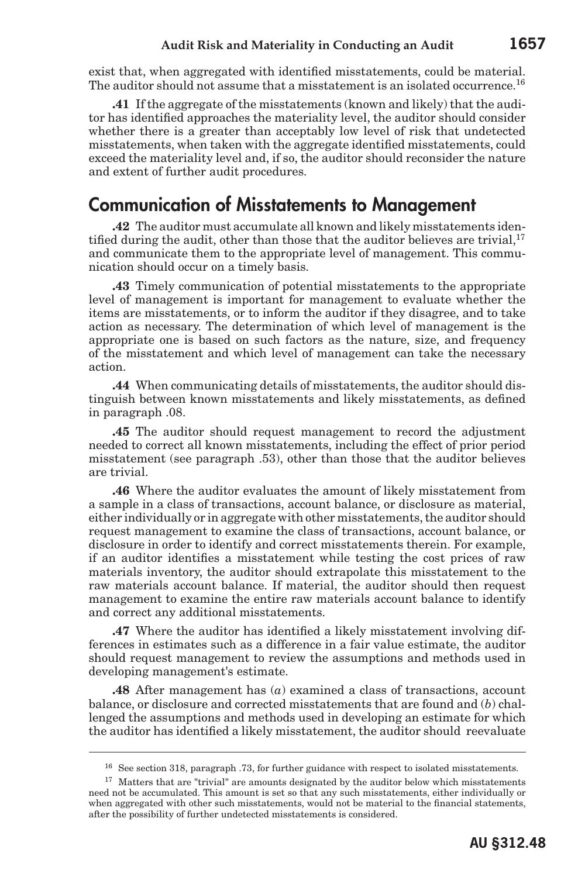exist that, when aggregated with identified misstatements, could be material. The auditor should not assume that a misstatement is an isolated occurrence.<sup>16</sup>

**.41** If the aggregate of the misstatements (known and likely) that the auditor has identified approaches the materiality level, the auditor should consider whether there is a greater than acceptably low level of risk that undetected misstatements, when taken with the aggregate identified misstatements, could exceed the materiality level and, if so, the auditor should reconsider the nature and extent of further audit procedures.

# Communication of Misstatements to Management

**.42** The auditor must accumulate all known and likely misstatements identified during the audit, other than those that the auditor believes are trivial,<sup>17</sup> and communicate them to the appropriate level of management. This communication should occur on a timely basis.

**.43** Timely communication of potential misstatements to the appropriate level of management is important for management to evaluate whether the items are misstatements, or to inform the auditor if they disagree, and to take action as necessary. The determination of which level of management is the appropriate one is based on such factors as the nature, size, and frequency of the misstatement and which level of management can take the necessary action.

**.44** When communicating details of misstatements, the auditor should distinguish between known misstatements and likely misstatements, as defined in paragraph .08.

**.45** The auditor should request management to record the adjustment needed to correct all known misstatements, including the effect of prior period misstatement (see paragraph .53), other than those that the auditor believes are trivial.

**.46** Where the auditor evaluates the amount of likely misstatement from a sample in a class of transactions, account balance, or disclosure as material, either individually or in aggregate with other misstatements, the auditor should request management to examine the class of transactions, account balance, or disclosure in order to identify and correct misstatements therein. For example, if an auditor identifies a misstatement while testing the cost prices of raw materials inventory, the auditor should extrapolate this misstatement to the raw materials account balance. If material, the auditor should then request management to examine the entire raw materials account balance to identify and correct any additional misstatements.

**.47** Where the auditor has identified a likely misstatement involving differences in estimates such as a difference in a fair value estimate, the auditor should request management to review the assumptions and methods used in developing management's estimate.

**.48** After management has (*a*) examined a class of transactions, account balance, or disclosure and corrected misstatements that are found and (*b*) challenged the assumptions and methods used in developing an estimate for which the auditor has identified a likely misstatement, the auditor should reevaluate

<sup>16</sup> See section 318, paragraph .73, for further guidance with respect to isolated misstatements.

 $17$  Matters that are "trivial" are amounts designated by the auditor below which misstatements need not be accumulated. This amount is set so that any such misstatements, either individually or when aggregated with other such misstatements, would not be material to the financial statements, after the possibility of further undetected misstatements is considered.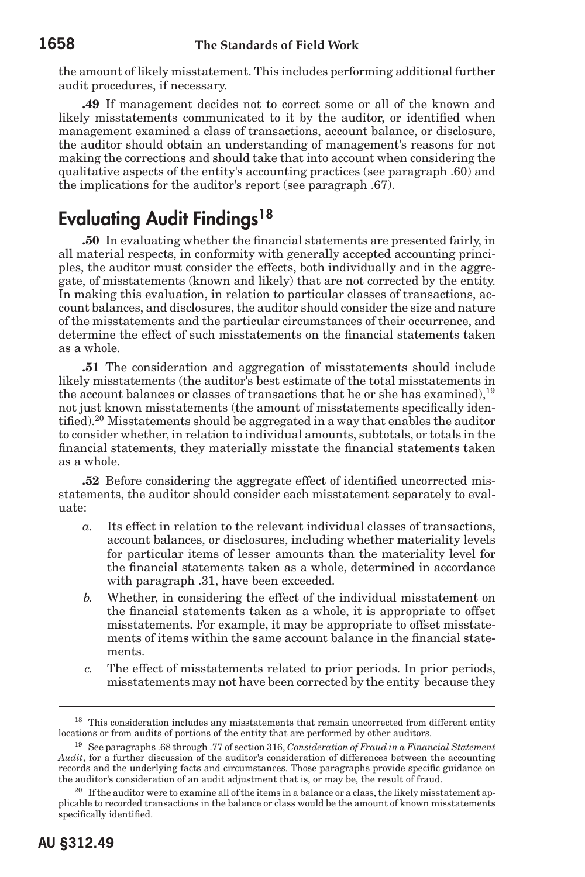the amount of likely misstatement. This includes performing additional further audit procedures, if necessary.

**.49** If management decides not to correct some or all of the known and likely misstatements communicated to it by the auditor, or identified when management examined a class of transactions, account balance, or disclosure, the auditor should obtain an understanding of management's reasons for not making the corrections and should take that into account when considering the qualitative aspects of the entity's accounting practices (see paragraph .60) and the implications for the auditor's report (see paragraph .67).

# Evaluating Audit Findinas<sup>18</sup>

**.50** In evaluating whether the financial statements are presented fairly, in all material respects, in conformity with generally accepted accounting principles, the auditor must consider the effects, both individually and in the aggregate, of misstatements (known and likely) that are not corrected by the entity. In making this evaluation, in relation to particular classes of transactions, account balances, and disclosures, the auditor should consider the size and nature of the misstatements and the particular circumstances of their occurrence, and determine the effect of such misstatements on the financial statements taken as a whole.

**.51** The consideration and aggregation of misstatements should include likely misstatements (the auditor's best estimate of the total misstatements in the account balances or classes of transactions that he or she has examined),  $19$ not just known misstatements (the amount of misstatements specifically identified).<sup>20</sup> Misstatements should be aggregated in a way that enables the auditor to consider whether, in relation to individual amounts, subtotals, or totals in the financial statements, they materially misstate the financial statements taken as a whole.

**.52** Before considering the aggregate effect of identified uncorrected misstatements, the auditor should consider each misstatement separately to evaluate:

- *a.* Its effect in relation to the relevant individual classes of transactions, account balances, or disclosures, including whether materiality levels for particular items of lesser amounts than the materiality level for the financial statements taken as a whole, determined in accordance with paragraph .31, have been exceeded.
- *b.* Whether, in considering the effect of the individual misstatement on the financial statements taken as a whole, it is appropriate to offset misstatements. For example, it may be appropriate to offset misstatements of items within the same account balance in the financial statements.
- *c.* The effect of misstatements related to prior periods. In prior periods, misstatements may not have been corrected by the entity because they

<sup>&</sup>lt;sup>18</sup> This consideration includes any misstatements that remain uncorrected from different entity locations or from audits of portions of the entity that are performed by other auditors.

<sup>19</sup> See paragraphs .68 through .77 of section 316, *Consideration of Fraud in a Financial Statement Audit*, for a further discussion of the auditor's consideration of differences between the accounting records and the underlying facts and circumstances. Those paragraphs provide specific guidance on the auditor's consideration of an audit adjustment that is, or may be, the result of fraud.

<sup>&</sup>lt;sup>20</sup> If the auditor were to examine all of the items in a balance or a class, the likely misstatement applicable to recorded transactions in the balance or class would be the amount of known misstatements specifically identified.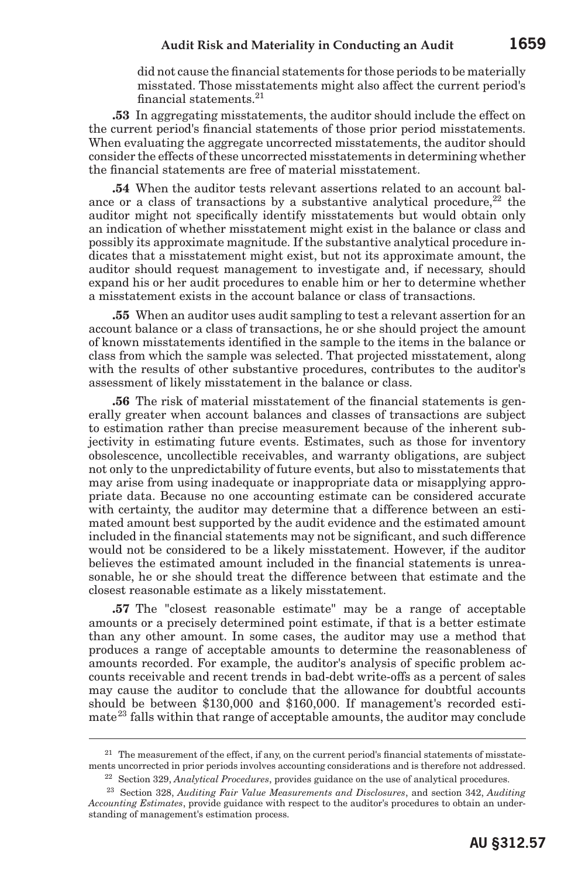#### **Audit Risk and Materiality in Conducting an Audit 1659**

did not cause the financial statements for those periods to be materially misstated. Those misstatements might also affect the current period's financial statements.<sup>21</sup>

**.53** In aggregating misstatements, the auditor should include the effect on the current period's financial statements of those prior period misstatements. When evaluating the aggregate uncorrected misstatements, the auditor should consider the effects of these uncorrected misstatements in determining whether the financial statements are free of material misstatement.

**.54** When the auditor tests relevant assertions related to an account balance or a class of transactions by a substantive analytical procedure.<sup>22</sup> the auditor might not specifically identify misstatements but would obtain only an indication of whether misstatement might exist in the balance or class and possibly its approximate magnitude. If the substantive analytical procedure indicates that a misstatement might exist, but not its approximate amount, the auditor should request management to investigate and, if necessary, should expand his or her audit procedures to enable him or her to determine whether a misstatement exists in the account balance or class of transactions.

**.55** When an auditor uses audit sampling to test a relevant assertion for an account balance or a class of transactions, he or she should project the amount of known misstatements identified in the sample to the items in the balance or class from which the sample was selected. That projected misstatement, along with the results of other substantive procedures, contributes to the auditor's assessment of likely misstatement in the balance or class.

**.56** The risk of material misstatement of the financial statements is generally greater when account balances and classes of transactions are subject to estimation rather than precise measurement because of the inherent subjectivity in estimating future events. Estimates, such as those for inventory obsolescence, uncollectible receivables, and warranty obligations, are subject not only to the unpredictability of future events, but also to misstatements that may arise from using inadequate or inappropriate data or misapplying appropriate data. Because no one accounting estimate can be considered accurate with certainty, the auditor may determine that a difference between an estimated amount best supported by the audit evidence and the estimated amount included in the financial statements may not be significant, and such difference would not be considered to be a likely misstatement. However, if the auditor believes the estimated amount included in the financial statements is unreasonable, he or she should treat the difference between that estimate and the closest reasonable estimate as a likely misstatement.

**.57** The "closest reasonable estimate" may be a range of acceptable amounts or a precisely determined point estimate, if that is a better estimate than any other amount. In some cases, the auditor may use a method that produces a range of acceptable amounts to determine the reasonableness of amounts recorded. For example, the auditor's analysis of specific problem accounts receivable and recent trends in bad-debt write-offs as a percent of sales may cause the auditor to conclude that the allowance for doubtful accounts should be between \$130,000 and \$160,000. If management's recorded estimate<sup>23</sup> falls within that range of acceptable amounts, the auditor may conclude

 $21$  The measurement of the effect, if any, on the current period's financial statements of misstatements uncorrected in prior periods involves accounting considerations and is therefore not addressed.

<sup>22</sup> Section 329, *Analytical Procedures*, provides guidance on the use of analytical procedures.

<sup>23</sup> Section 328, *Auditing Fair Value Measurements and Disclosures*, and section 342, *Auditing Accounting Estimates*, provide guidance with respect to the auditor's procedures to obtain an understanding of management's estimation process.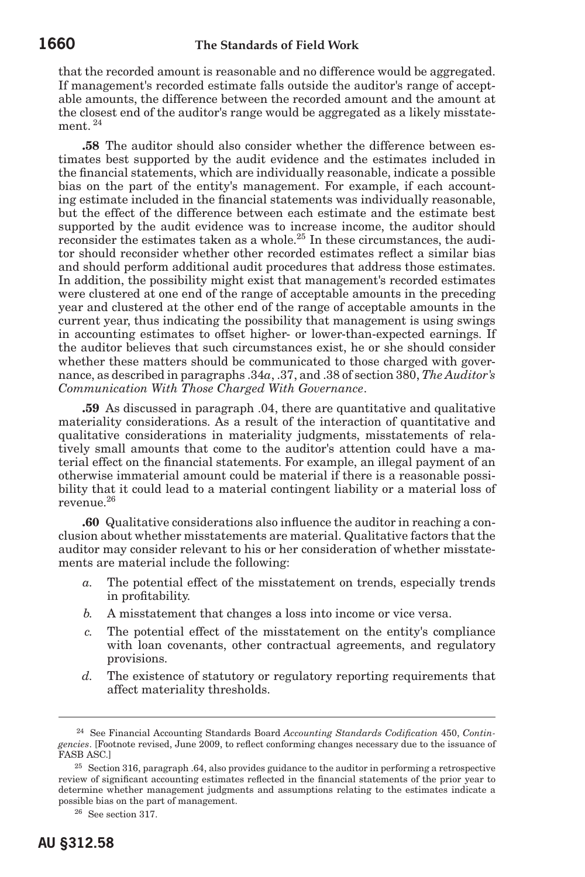that the recorded amount is reasonable and no difference would be aggregated. If management's recorded estimate falls outside the auditor's range of acceptable amounts, the difference between the recorded amount and the amount at the closest end of the auditor's range would be aggregated as a likely misstatement.<sup>24</sup>

**.58** The auditor should also consider whether the difference between estimates best supported by the audit evidence and the estimates included in the financial statements, which are individually reasonable, indicate a possible bias on the part of the entity's management. For example, if each accounting estimate included in the financial statements was individually reasonable, but the effect of the difference between each estimate and the estimate best supported by the audit evidence was to increase income, the auditor should reconsider the estimates taken as a whole.<sup>25</sup> In these circumstances, the auditor should reconsider whether other recorded estimates reflect a similar bias and should perform additional audit procedures that address those estimates. In addition, the possibility might exist that management's recorded estimates were clustered at one end of the range of acceptable amounts in the preceding year and clustered at the other end of the range of acceptable amounts in the current year, thus indicating the possibility that management is using swings in accounting estimates to offset higher- or lower-than-expected earnings. If the auditor believes that such circumstances exist, he or she should consider whether these matters should be communicated to those charged with governance, as described in paragraphs .34*a*, .37, and .38 of section 380, *The Auditor's Communication With Those Charged With Governance*.

**.59** As discussed in paragraph .04, there are quantitative and qualitative materiality considerations. As a result of the interaction of quantitative and qualitative considerations in materiality judgments, misstatements of relatively small amounts that come to the auditor's attention could have a material effect on the financial statements. For example, an illegal payment of an otherwise immaterial amount could be material if there is a reasonable possibility that it could lead to a material contingent liability or a material loss of revenue.26

**.60** Qualitative considerations also influence the auditor in reaching a conclusion about whether misstatements are material. Qualitative factors that the auditor may consider relevant to his or her consideration of whether misstatements are material include the following:

- *a.* The potential effect of the misstatement on trends, especially trends in profitability.
- *b.* A misstatement that changes a loss into income or vice versa.
- *c.* The potential effect of the misstatement on the entity's compliance with loan covenants, other contractual agreements, and regulatory provisions.
- *d.* The existence of statutory or regulatory reporting requirements that affect materiality thresholds.

<sup>24</sup> See Financial Accounting Standards Board *Accounting Standards Codification* 450, *Contingencies*. [Footnote revised, June 2009, to reflect conforming changes necessary due to the issuance of FASB ASC.]

<sup>&</sup>lt;sup>25</sup> Section 316, paragraph .64, also provides guidance to the auditor in performing a retrospective review of significant accounting estimates reflected in the financial statements of the prior year to determine whether management judgments and assumptions relating to the estimates indicate a possible bias on the part of management.

<sup>26</sup> See section 317.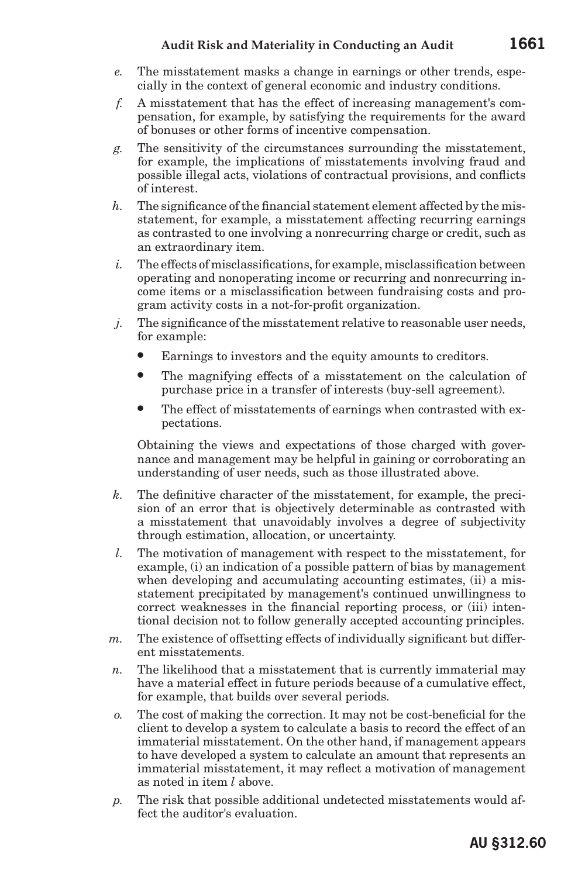- *e.* The misstatement masks a change in earnings or other trends, especially in the context of general economic and industry conditions.
- *f.* A misstatement that has the effect of increasing management's compensation, for example, by satisfying the requirements for the award of bonuses or other forms of incentive compensation.
- *g.* The sensitivity of the circumstances surrounding the misstatement, for example, the implications of misstatements involving fraud and possible illegal acts, violations of contractual provisions, and conflicts of interest.
- *h.* The significance of the financial statement element affected by the misstatement, for example, a misstatement affecting recurring earnings as contrasted to one involving a nonrecurring charge or credit, such as an extraordinary item.
- *i.* The effects of misclassifications, for example, misclassification between operating and nonoperating income or recurring and nonrecurring income items or a misclassification between fundraising costs and program activity costs in a not-for-profit organization.
- *j.* The significance of the misstatement relative to reasonable user needs, for example:
	- Earnings to investors and the equity amounts to creditors.
	- The magnifying effects of a misstatement on the calculation of purchase price in a transfer of interests (buy-sell agreement).
	- The effect of misstatements of earnings when contrasted with expectations.

Obtaining the views and expectations of those charged with governance and management may be helpful in gaining or corroborating an understanding of user needs, such as those illustrated above.

- *k.* The definitive character of the misstatement, for example, the precision of an error that is objectively determinable as contrasted with a misstatement that unavoidably involves a degree of subjectivity through estimation, allocation, or uncertainty.
- *l.* The motivation of management with respect to the misstatement, for example, (i) an indication of a possible pattern of bias by management when developing and accumulating accounting estimates, (ii) a misstatement precipitated by management's continued unwillingness to correct weaknesses in the financial reporting process, or (iii) intentional decision not to follow generally accepted accounting principles.
- *m.* The existence of offsetting effects of individually significant but different misstatements.
- *n.* The likelihood that a misstatement that is currently immaterial may have a material effect in future periods because of a cumulative effect, for example, that builds over several periods.
- *o.* The cost of making the correction. It may not be cost-beneficial for the client to develop a system to calculate a basis to record the effect of an immaterial misstatement. On the other hand, if management appears to have developed a system to calculate an amount that represents an immaterial misstatement, it may reflect a motivation of management as noted in item *l* above.
- *p.* The risk that possible additional undetected misstatements would affect the auditor's evaluation.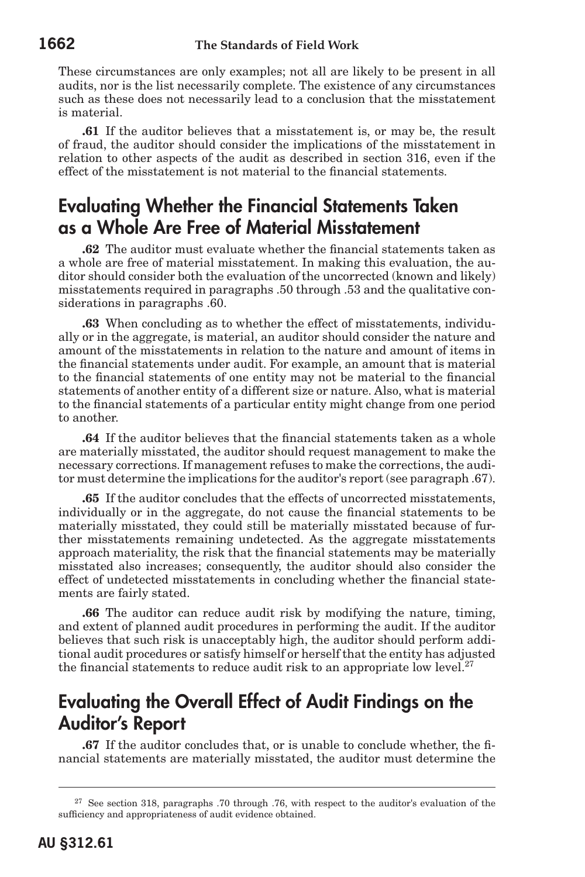These circumstances are only examples; not all are likely to be present in all audits, nor is the list necessarily complete. The existence of any circumstances such as these does not necessarily lead to a conclusion that the misstatement is material.

**.61** If the auditor believes that a misstatement is, or may be, the result of fraud, the auditor should consider the implications of the misstatement in relation to other aspects of the audit as described in section 316, even if the effect of the misstatement is not material to the financial statements.

## Evaluating Whether the Financial Statements Taken as a Whole Are Free of Material Misstatement

**.62** The auditor must evaluate whether the financial statements taken as a whole are free of material misstatement. In making this evaluation, the auditor should consider both the evaluation of the uncorrected (known and likely) misstatements required in paragraphs .50 through .53 and the qualitative considerations in paragraphs .60.

**.63** When concluding as to whether the effect of misstatements, individually or in the aggregate, is material, an auditor should consider the nature and amount of the misstatements in relation to the nature and amount of items in the financial statements under audit. For example, an amount that is material to the financial statements of one entity may not be material to the financial statements of another entity of a different size or nature. Also, what is material to the financial statements of a particular entity might change from one period to another.

**.64** If the auditor believes that the financial statements taken as a whole are materially misstated, the auditor should request management to make the necessary corrections. If management refuses to make the corrections, the auditor must determine the implications for the auditor's report (see paragraph .67).

**.65** If the auditor concludes that the effects of uncorrected misstatements, individually or in the aggregate, do not cause the financial statements to be materially misstated, they could still be materially misstated because of further misstatements remaining undetected. As the aggregate misstatements approach materiality, the risk that the financial statements may be materially misstated also increases; consequently, the auditor should also consider the effect of undetected misstatements in concluding whether the financial statements are fairly stated.

**.66** The auditor can reduce audit risk by modifying the nature, timing, and extent of planned audit procedures in performing the audit. If the auditor believes that such risk is unacceptably high, the auditor should perform additional audit procedures or satisfy himself or herself that the entity has adjusted the financial statements to reduce audit risk to an appropriate low level.<sup>27</sup>

#### Evaluating the Overall Effect of Audit Findings on the Auditor's Report

**.67** If the auditor concludes that, or is unable to conclude whether, the financial statements are materially misstated, the auditor must determine the

 $27$  See section 318, paragraphs .70 through .76, with respect to the auditor's evaluation of the sufficiency and appropriateness of audit evidence obtained.